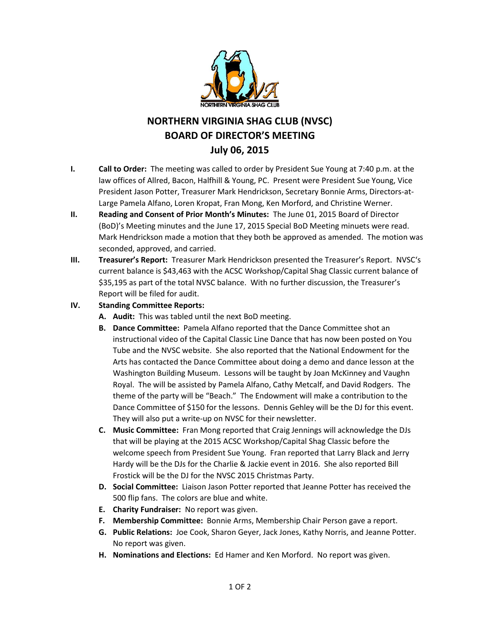

# **NORTHERN VIRGINIA SHAG CLUB (NVSC) BOARD OF DIRECTOR'S MEETING July 06, 2015**

- **I. Call to Order:** The meeting was called to order by President Sue Young at 7:40 p.m. at the law offices of Allred, Bacon, Halfhill & Young, PC. Present were President Sue Young, Vice President Jason Potter, Treasurer Mark Hendrickson, Secretary Bonnie Arms, Directors-at-Large Pamela Alfano, Loren Kropat, Fran Mong, Ken Morford, and Christine Werner.
- **II. Reading and Consent of Prior Month's Minutes:** The June 01, 2015 Board of Director (BoD)'s Meeting minutes and the June 17, 2015 Special BoD Meeting minuets were read. Mark Hendrickson made a motion that they both be approved as amended. The motion was seconded, approved, and carried.
- **III. Treasurer's Report:** Treasurer Mark Hendrickson presented the Treasurer's Report. NVSC's current balance is \$43,463 with the ACSC Workshop/Capital Shag Classic current balance of \$35,195 as part of the total NVSC balance. With no further discussion, the Treasurer's Report will be filed for audit.
- **IV. Standing Committee Reports:**
	- **A. Audit:** This was tabled until the next BoD meeting.
	- **B. Dance Committee:** Pamela Alfano reported that the Dance Committee shot an instructional video of the Capital Classic Line Dance that has now been posted on You Tube and the NVSC website. She also reported that the National Endowment for the Arts has contacted the Dance Committee about doing a demo and dance lesson at the Washington Building Museum. Lessons will be taught by Joan McKinney and Vaughn Royal. The will be assisted by Pamela Alfano, Cathy Metcalf, and David Rodgers. The theme of the party will be "Beach." The Endowment will make a contribution to the Dance Committee of \$150 for the lessons. Dennis Gehley will be the DJ for this event. They will also put a write-up on NVSC for their newsletter.
	- **C. Music Committee:** Fran Mong reported that Craig Jennings will acknowledge the DJs that will be playing at the 2015 ACSC Workshop/Capital Shag Classic before the welcome speech from President Sue Young. Fran reported that Larry Black and Jerry Hardy will be the DJs for the Charlie & Jackie event in 2016. She also reported Bill Frostick will be the DJ for the NVSC 2015 Christmas Party.
	- **D. Social Committee:** Liaison Jason Potter reported that Jeanne Potter has received the 500 flip fans. The colors are blue and white.
	- **E. Charity Fundraiser:** No report was given.
	- **F. Membership Committee:** Bonnie Arms, Membership Chair Person gave a report.
	- **G. Public Relations:** Joe Cook, Sharon Geyer, Jack Jones, Kathy Norris, and Jeanne Potter. No report was given.
	- **H. Nominations and Elections:** Ed Hamer and Ken Morford. No report was given.